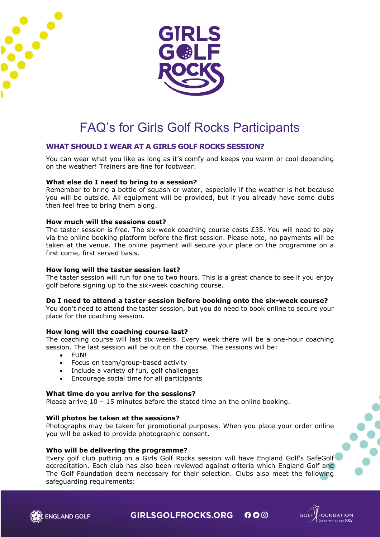



# FAQ's for Girls Golf Rocks Participants

# **WHAT SHOULD I WEAR AT A GIRLS GOLF ROCKS SESSION?**

You can wear what you like as long as it's comfy and keeps you warm or cool depending on the weather! Trainers are fine for footwear.

## **What else do I need to bring to a session?**

Remember to bring a bottle of squash or water, especially if the weather is hot because you will be outside. All equipment will be provided, but if you already have some clubs then feel free to bring them along.

#### **How much will the sessions cost?**

The taster session is free. The six-week coaching course costs £35. You will need to pay via the online booking platform before the first session. Please note, no payments will be taken at the venue. The online payment will secure your place on the programme on a first come, first served basis.

#### **How long will the taster session last?**

The taster session will run for one to two hours. This is a great chance to see if you enjoy golf before signing up to the six-week coaching course.

#### **Do I need to attend a taster session before booking onto the six-week course?**

You don't need to attend the taster session, but you do need to book online to secure your place for the coaching session.

#### **How long will the coaching course last?**

The coaching course will last six weeks. Every week there will be a one-hour coaching session. The last session will be out on the course. The sessions will be:

- FUN!
- Focus on team/group-based activity
- Include a variety of fun, golf challenges
- Encourage social time for all participants

#### **What time do you arrive for the sessions?**

Please arrive  $10 - 15$  minutes before the stated time on the online booking.

#### **Will photos be taken at the sessions?**

Photographs may be taken for promotional purposes. When you place your order online you will be asked to provide photographic consent.

#### **Who will be delivering the programme?**

Every golf club putting on a Girls Golf Rocks session will have England Golf's SafeGolf accreditation. Each club has also been reviewed against criteria which England Golf and The Golf Foundation deem necessary for their selection. Clubs also meet the following safeguarding requirements:





**GIRLSGOLFROCKS.ORG**  $000$